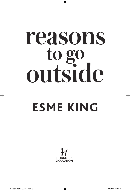# reasons to go<br>outside

⊕

# **ESME KING**

**HODDER & STOUGHTON** 

Reasons To Go Outside.indd 3 14/01/22 2:32 PM

◈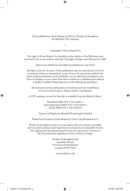#### First published in Great Britain in 2022 by Hodder & Stoughton An Hachette UK company

◈

1

Copyright © Esme King 2022

The right of Esme King to be identified as the Author of the Work has been asserted by her in accordance with the Copyright, Designs and Patents Act 1988.

[Insert any additional copyright or permissions copy here]

All rights reserved. No part of this publication may be reproduced, stored in a retrieval system, or transmitted, in any form or by any means without the prior written permission of the publisher, nor be otherwise circulated in any form of binding or cover other than that in which it is published and without a similar condition being imposed on the subsequent purchaser.

All characters in this publication are fictitious and any resemblance to real persons, living or dead, is purely coincidental.

A CIP catalogue record for this title is available from the British Library

Hardback ISBN 978 1 529 36282 4 Trade Paperback ISBN 978 1 529 36283 1 eBook ISBN 978 1 529 36284 8

Typeset in Plantin by Manipal Technologies Limited

Printed and bound in Great Britain by Clays Ltd, Elcograf S.p.A.

Hodder & Stoughton policy is to use papers that are natural, renewable and recyclable products and made from wood grown in sustainable forests. The logging and manufacturing processes are expected to conform to the environmental regulations of the country of origin.

> Hodder & Stoughton Ltd Carmelite House 50 Victoria Embankment London EC4Y 0DZ

> > www.hodder.co.uk

◈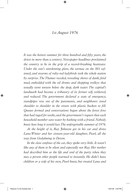### *1st August 1976*

 $\bigoplus$ 

*It was the hottest summer for three hundred and fifty years, the driest in more than a century. Newspaper headlines proclaimed the country to be in the grip of a record-breaking heatwave. Under the sun's unrelenting glare, the tarmac on the M1 softened, and swarms of ruby-red ladybirds took the whole nation by surprise. The Thames receded, revealing shores of dank, fetid mud, embedded with the oil drums and shopping trolleys that usually went unseen below the deep, dark water. The capital's landmark had become a tributary of its former self, withered, and reduced. The government declared a state of emergency, standpipes rose out of the pavements, and neighbours stood shoulder to shoulder in the streets with plastic buckets to fill. Queues formed and conversations began about the forest fires that had raged for weeks, and the government's request that each household member save water by bathing with a friend. Nobody knew how long it would last. The unforgettable summer of 1976.*

*At the height of it, Ray Johnson got in his car and drove Lana Winter and her sixteen-year-old daughter, Pearl, all the way from Godalming to Devon.*

In the close confines of the car, they spoke very little. It wasn't like any of them to be silent and especially not Ray. Her mother *had described him as the life and soul of the party when they met, a person other people warmed to instantly. He didn't have children or a wife of his own, Pearl knew, but treated Lana and* 

◈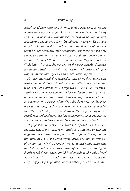$\bigoplus$ 

*herself as if they were exactly that. It had been good to see her mother smile again too after Mr Winter had left them so suddenly and moved in with a woman who worked in the launderette. But during the journey from Godalming to Devon Ray spoke only to ask Lana if she would light him another one of his cigarettes. On the back seat, Pearl sat amongst the swirls of dove-grey smoke and concentrated on counting seconds, and then minutes, anything to avoid thinking about the reason they had to leave Godalming. Instead, she focused on the permanently changing landscape outside as the wide motorways and dusty roads gave way to narrow country lanes and sage-coloured fields.* 

*As dusk descended, they reached a town where the cottages were washed in pastel shades of pink, blue and yellow. Each was topped with a bristly thatched roof. A sign read 'Welcome to Westdown'. Pearl wound down her window and listened to the sound of a jukebox coming from inside a nearby public house, its doors wide open to encourage in a change of air. Outside, there were two hanging baskets containing the desiccated remains of plants. All that was left were their tinder-dry stems trembling in the early evening breeze. Pearl's hair whipped across her face as they drove along the deserted street, so she wound her window back up until it was closed.*

*Ray pushed his foot on the accelerator pedal and drove out the other side of the town, over a cattle grid and onto an expanse of grassland so vast and impressive Pearl forgot to keep counting minutes. Acres of rugged green earth, dry and scorched in place, and dotted with rocky outcrops, rippled lazily away into the distance, below a striking sunset of vermilion red and gold. Black-faced sheep grazed amiably alongside wild ponies. Pearl noticed their fur was muddy in places. The animals looked up only briefly as if a speeding car was nothing to be troubled by.*

◈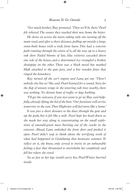$\bigoplus$ 

*'Not much further,' Ray promised. 'Then we'll be there.' Pearl felt relieved. The sooner they reached their new home the better.*

*He drove on across the moor, taking only one turning off the main road, and after a short distance, pulling up outside a large, stone-built house with a wide front lawn. This had a concrete path running through the centre of it, all the way up to a heavy oak door. Faded blooms of late, lilac wisteria cascaded down one side of the house, and a determined ivy strangled a broken drainpipe on the other. There was a black metal box marked*  Mail *attached to the gate post, and a low wooden fence that ringed the boundary.*

*Ray turned off the car's engine and Lana got out. 'There's nobody else but us.' She said. Pearl listened for a sound. Save for the flap of unseen wings in the towering oak trees nearby, there was nothing. No distant hum of traffic or dogs barking.*

*'I'll get the suitcases, if you two want to go in,' Ray said helpfully, already lifting the lid of the boot. 'Our furniture will arrive tomorrow in the van. Then Highview will feel more like a home.'*

*It was just a short distance to the door, through the gate and up the path, but it felt like a mile. Pearl kept her head down as she made her way along it, concentrating on the small explosions of emerald-green moss bursting out of the cracks in the concrete. Ahead, Lana unlocked the front door and pushed it open. Pearl didn't stop to think about the terrifying truth of what had happened in Godalming that heatwave summer. To reflect on it, she knew, only served to invite in an unbearable feeling; a fear that threatened to overwhelm her completely and fell her where she stood.* 

*So, as fast as her legs would carry her, Pearl Winter hurried inside.*

◈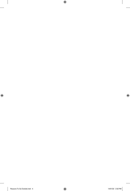

 $\mathbb{R}$ 

 $\bigoplus$ 

 $\bigoplus$ 

 $\overline{\phantom{a}}$ 

 $\bigoplus$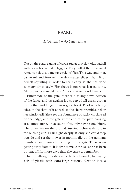# PEARL.

 $\bigoplus$ 

# *1st August – 43 Years Later*

Out on the road, a gang of crows tug at two-day-old roadkill with beaks hooked like daggers. They pull at the sun-baked remains below a dancing circle of flies. This way and that, backward and forward, the dry matter slides. Pearl finds herself squinting in order to see clearly as she has done so many times lately. Her focus is not what it used to be. Almost sixty-year-old eyes. Almost sixty-year-old knees.

Either side of the gate, there is a falling-down section of the fence, and up against it a sweep of tall grass, grown overly thin and longer than is good for it. Pearl reluctantly takes in the sight of it as well as the sharp brambles below her windowsill. She sees the abundance of sticky chickweed on the ledge, and the gate at the end of the path hanging at a jaunty angle, on account of its only having one hinge. The other lies on the ground, turning ochre with rust in the burning sun. Pearl sighs deeply. If only she could step outside and set the mower in motion, dig up the rampant brambles, and re-attach the hinge to the gate. There is no getting away from it. It is time to make the call she has been putting off for more days than she cares to remember.

In the hallway, on a darkwood table, sits an elephant-grey slab of plastic with extra-large buttons. Next to it is a

◈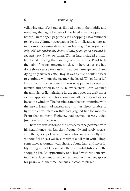$\bigoplus$ 

yellowing pad of A4 paper, flipped open in the middle and revealing the jagged edges of the lined sheets ripped out before. On the open page there is a shopping list, a reminder to have the chimney swept, an order for milk, and a note, all in her mother's unmistakable handwriting: *Should you need help with the garden, my dearest Pearl, please put a postcard in the newsagent's window.* Lana Winter had included a number to call. Seeing the carefully written words, Pearl feels the pain of losing someone so close to her, just as she had done three years previously. It had been unexpected, Lana dying only six years after Ray. It was as if she couldn't bear to continue without the partner she loved. When Lana left Highview for the last time she was wrapped in a pea-green blanket and seated in an NHS wheelchair. Pearl watched the ambulance light flashing its urgency over the dark moor as it disappeared, and for a long time after she stood standing at the window. The hospital rang the next morning with the news. Lana had passed away in her sleep, unable to fight the chest infection that had plagued her for months. From that moment, Highview had seemed so very quiet. Just Pearl and the crows.

There are few visitors to the house, just the postman with his headphones who knocks infrequently and rarely speaks, and the grocery-delivery driver who arrives briefly and without fail once a week, sometimes a tall man with a limp, sometimes a woman with short, auburn hair and incredibly strong arms. Occasionally there are substitutions on the shopping list. An opportunity to talk; a few words concerning the replacement of wholemeal bread with white, apples for pears, and one time, bananas instead of bleach.

◈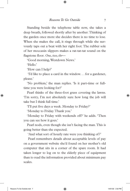$\bigoplus$ 

Standing beside the telephone table now, she takes a deep breath, followed shortly after by another. Thinking of the garden once more she decides there is no time to lose. When she makes the call, it rings through while she nervously taps out a beat with her right foot. The rubber sole of her moccasin slippers makes a rat-tat-tat sound on the flagstone floor. *One, two, thr—*

'Good morning, Westdown News.'

'Hello.'

◈

'How can I help?'

 'I'd like to place a card in the window. . . for a gardener, please.'

'No problem,' the man replies. 'Is it part-time or fulltime you were looking for?'

Pearl thinks of the three-foot grass covering the lawns. 'I'm sorry, I'm not absolutely sure how long the job will take but I think full time.'

'I'll put five days a week. Monday to Friday?'

'Monday to Friday. Thank you.'

'Monday to Friday with weekends off?' he adds. 'Then you can see how it goes.'

Pearl nods, even though she isn't facing the man. This is going better than she expected.

'And what sort of hourly rate were you thinking of?'

 Pearl remembers details about acceptable levels of pay on a government website she'd found on her mother's old computer that sits in a corner of the spare room. It had taken longer to log on to the elderly piece of equipment than to read the information provided about minimum pay scales.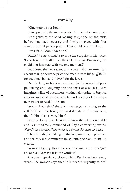$\bigoplus$ 

'Nine pounds per hour.'

'Nine pounds,' the man repeats. 'And a mobile number?'

Pearl gazes at the solid-looking telephone on the table before her, fixed securely and firmly in place with four squares of sticky-back plastic. That could be a problem.

'I'm afraid I don't have one.'

'Right,' he says, unable to hide the surprise in his voice. 'I can take the landline off the caller display. I'm sorry, but could you just bear with me one moment?'

Pearl loses the newsagent to a woman with an American accent asking about the price of clotted-cream fudge.  $f(10.72)$ for the small box and  $\text{\textsterling}19.80$  for the large.

On the line, in his absence, there is the sound of people talking and coughing and the shrill of a buzzer. Pearl imagines a line of customers waiting, all hoping to buy ice creams and cold drinks, sweets, and a copy of the day's newspaper to read in the sun.

'Sorry about that,' the busy man says, returning to the call. 'If I can just take your card details for the payment, then I think that's everything.'

Pearl picks up the debit card from the telephone table and is immediately reminded of Ray's comforting words. *There's an account. Enough money for all the years to come.* 

The silver digits making up the long number, expiry date and security pin shimmer in the gloom. She reads them out clearly.

'Your ad'll go up this afternoon,' the man confirms. 'Just as soon as I can get it in the window.'

A woman speaks so close to him Pearl can hear every word. The woman says that he is needed urgently to deal

◈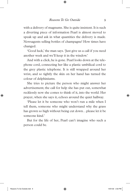$\bigoplus$ 

with a delivery of magnums. She is quite insistent. It is such a diverting piece of information Pearl is almost moved to speak up and ask in what quantities the delivery is made. Newsagents selling bottles of champagne! How times have changed.

'Good luck,' the man says. 'Just give us a call if you need another week and we'll keep it in the window.'

And with a click, he is gone. Pearl looks down at the telephone cord, connecting her like a plastic umbilical cord to the grey plastic telephone. It is still wrapped around her wrist, and so tightly the skin on her hand has turned the colour of delphiniums.

She tries to picture the person who might answer her advertisement; the call for help she has put out, somewhat recklessly now she comes to think of it, into the world. Her prayer, when she says it, echoes around the quiet hallway.

'Please let it be someone who won't run a mile when I tell them, someone who might understand why the grass has grown so high without being cut down…please let it be someone kind.'

But for the life of her, Pearl can't imagine who such a person could be.

◈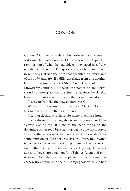# **CONNOR**

 $\bigoplus$ 

Connor Matthews stands in his bedroom and stares at walls infected with irregular blobs of bright pink paint. It reminds him of when he had chicken pox, aged five. Itchy, irritating chicken pox. The spots on the walls are increasing in number, just like the ones that sprouted on every inch of his body, and are all a different shade from one another, but only marginally. Rocket Ship Rose, Hazy Harlem, and Strawberry Sundae. He checks the names on the corresponding tester pots that are lined up against the skirting board and thinks about throwing them out the window.

'I see you. You like the new colours, yes?!'

When he turns around she is there. Yvo Martens. Belgian. Room invader. His father's girlfriend.

'I cannot decide,' she sighs. 'So many to choose from.'

She is dressed in cycling shorts and a fluorescent longsleeved cycling top. It matches the neon strips on the downtube of her road bike leant up against the front porch. Now he thinks about it, he's not sure if Yvo is short for something longer. He's not actually sure of very much when it comes to the woman standing uninvited in his room, except that she met his father at the local cycling club a year ago and they share a passion for all things Lycra and twowheeled. His father, as he'd explained it, had coveted her carbon-fibre frame, and she his Campagnolo wheels. It had

◈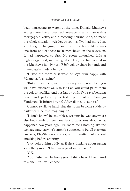$\bigoplus$ 

been nauseating to watch at the time, Donald Matthews acting more like a lovestruck teenager than a man with a mortgage, a Volvo, and a receding hairline. And, to make the whole situation weirder, as soon as Yvo had moved in, she'd begun changing the interior of the house like someone from one of those makeover shows on the television. It had happened so fast. No room untouched. Like a highly organised, multi-lingual cuckoo, she had landed in the Matthews family nest, B&Q colour chart in hand, and immediately made it her own.

'I liked the room as it was,' he says. 'I'm happy with Magnolia. Just saying.'

'But you will be gone to university soon, no? Then you will have different walls to look at. You could paint them the colour you like. And this happy pink,' Yvo says, bending down and picking up a tester pot marked Flamingo Fandango, 'It brings joy, no? After all the. . . sadness.'

Connor swallows hard. Has the room become suddenly darker or is he just imagining it?

'I don't know,' he mumbles, wishing he was anywhere else but standing here now facing questions about what happened two years ago. His room feels nothing like the teenage sanctuary he's sure it's supposed to be, all blackout curtains, PlayStation consoles, and unwritten rules about knocking before entering.

Yvo looks at him oddly, as if she's thinking about saying something more. Thave new paint in the car...'

#### 'OK.'

'Your father will be home soon. I think he will like it. And this one. But I will choose.'

◈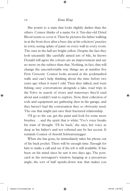$\bigoplus$ 

She points to a stain that looks slightly darker than the others. Connor thinks of a name for it. Ten-day-old Dried Blood seems to cover it. Then he pictures his father walking in at the front door after a busy day at his solicitors' practice in town, seeing splats of paint on every wall in every room. The ones in the hall are bright yellow. Despite the fact they look uncannily like carefully aimed jets of bile, he knows Donald will agree the colours are an improvement and say no more on the subject than that. Nothing, in fact, that will change the uncomfortable way things are at number five Fern Crescent. Connor looks around at the pockmarked walls and can't help thinking about the time before two years ago when it wasn't odd. Then they talked, and went fishing; easy conversations alongside a lake, road trips in the Volvo in search of rivers and waterways they'd read about and couldn't wait to explore. Now, their collection of rods and equipment are gathering dust in the garage, and they haven't had the conversation they so obviously need. The one that might just save their fractured relationship.

'I'll go to the car, get the paint and look for some more brushes. . . and the spirit that is white.' Yvo's voice breaks his train of thought. 'I'll be back,' she says, her voice as deep as his father's and not softened any by her accent. It reminds Connor of Arnold Schwarzenegger.

When she has gone, he immediately takes his phone out of his back pocket. There will be enough time. Enough for him to make a call and see if the job is still available. It has been on his mind since he saw it two days ago. The postcard in the newsagent's window, hanging at a precarious angle; the sort of half upside-down way that makes you

◈

⊕